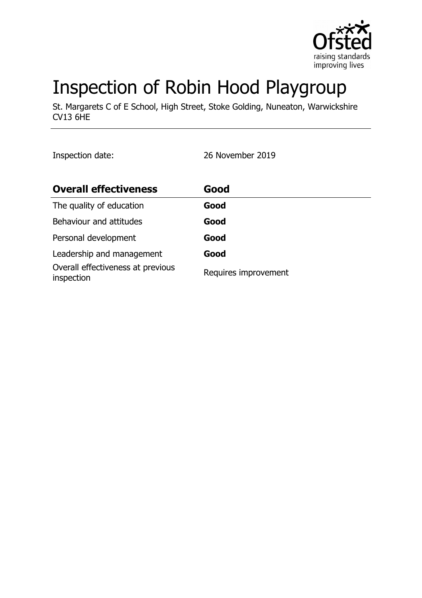

# Inspection of Robin Hood Playgroup

St. Margarets C of E School, High Street, Stoke Golding, Nuneaton, Warwickshire CV13 6HE

Inspection date: 26 November 2019

| <b>Overall effectiveness</b>                    | Good                 |
|-------------------------------------------------|----------------------|
| The quality of education                        | Good                 |
| Behaviour and attitudes                         | Good                 |
| Personal development                            | Good                 |
| Leadership and management                       | Good                 |
| Overall effectiveness at previous<br>inspection | Requires improvement |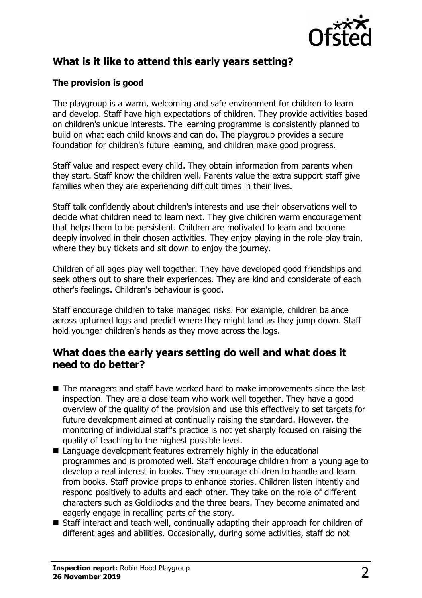

# **What is it like to attend this early years setting?**

#### **The provision is good**

The playgroup is a warm, welcoming and safe environment for children to learn and develop. Staff have high expectations of children. They provide activities based on children's unique interests. The learning programme is consistently planned to build on what each child knows and can do. The playgroup provides a secure foundation for children's future learning, and children make good progress.

Staff value and respect every child. They obtain information from parents when they start. Staff know the children well. Parents value the extra support staff give families when they are experiencing difficult times in their lives.

Staff talk confidently about children's interests and use their observations well to decide what children need to learn next. They give children warm encouragement that helps them to be persistent. Children are motivated to learn and become deeply involved in their chosen activities. They enjoy playing in the role-play train, where they buy tickets and sit down to enjoy the journey.

Children of all ages play well together. They have developed good friendships and seek others out to share their experiences. They are kind and considerate of each other's feelings. Children's behaviour is good.

Staff encourage children to take managed risks. For example, children balance across upturned logs and predict where they might land as they jump down. Staff hold younger children's hands as they move across the logs.

## **What does the early years setting do well and what does it need to do better?**

- $\blacksquare$  The managers and staff have worked hard to make improvements since the last inspection. They are a close team who work well together. They have a good overview of the quality of the provision and use this effectively to set targets for future development aimed at continually raising the standard. However, the monitoring of individual staff's practice is not yet sharply focused on raising the quality of teaching to the highest possible level.
- $\blacksquare$  Language development features extremely highly in the educational programmes and is promoted well. Staff encourage children from a young age to develop a real interest in books. They encourage children to handle and learn from books. Staff provide props to enhance stories. Children listen intently and respond positively to adults and each other. They take on the role of different characters such as Goldilocks and the three bears. They become animated and eagerly engage in recalling parts of the story.
- $\blacksquare$  Staff interact and teach well, continually adapting their approach for children of different ages and abilities. Occasionally, during some activities, staff do not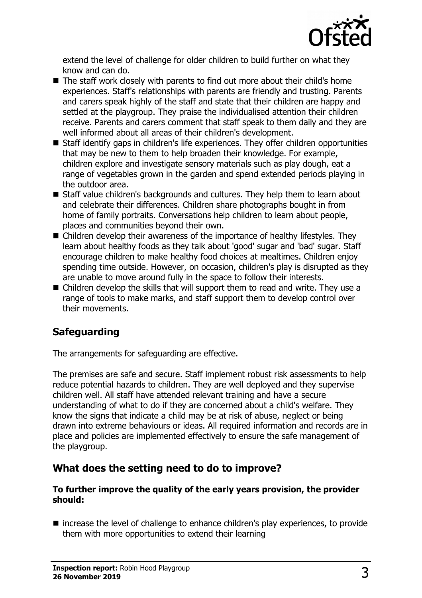

extend the level of challenge for older children to build further on what they know and can do.

- $\blacksquare$  The staff work closely with parents to find out more about their child's home experiences. Staff's relationships with parents are friendly and trusting. Parents and carers speak highly of the staff and state that their children are happy and settled at the playgroup. They praise the individualised attention their children receive. Parents and carers comment that staff speak to them daily and they are well informed about all areas of their children's development.
- Staff identify gaps in children's life experiences. They offer children opportunities that may be new to them to help broaden their knowledge. For example, children explore and investigate sensory materials such as play dough, eat a range of vegetables grown in the garden and spend extended periods playing in the outdoor area.
- Staff value children's backgrounds and cultures. They help them to learn about and celebrate their differences. Children share photographs bought in from home of family portraits. Conversations help children to learn about people, places and communities beyond their own.
- $\blacksquare$  Children develop their awareness of the importance of healthy lifestyles. They learn about healthy foods as they talk about 'good' sugar and 'bad' sugar. Staff encourage children to make healthy food choices at mealtimes. Children enjoy spending time outside. However, on occasion, children's play is disrupted as they are unable to move around fully in the space to follow their interests.
- $\blacksquare$  Children develop the skills that will support them to read and write. They use a range of tools to make marks, and staff support them to develop control over their movements.

# **Safeguarding**

The arrangements for safeguarding are effective.

The premises are safe and secure. Staff implement robust risk assessments to help reduce potential hazards to children. They are well deployed and they supervise children well. All staff have attended relevant training and have a secure understanding of what to do if they are concerned about a child's welfare. They know the signs that indicate a child may be at risk of abuse, neglect or being drawn into extreme behaviours or ideas. All required information and records are in place and policies are implemented effectively to ensure the safe management of the playgroup.

## **What does the setting need to do to improve?**

#### **To further improve the quality of the early years provision, the provider should:**

 $\blacksquare$  increase the level of challenge to enhance children's play experiences, to provide them with more opportunities to extend their learning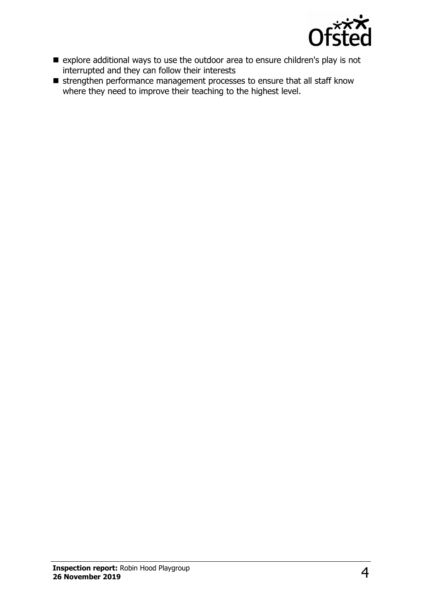

- $\blacksquare$  explore additional ways to use the outdoor area to ensure children's play is not interrupted and they can follow their interests
- $\blacksquare$  strengthen performance management processes to ensure that all staff know where they need to improve their teaching to the highest level.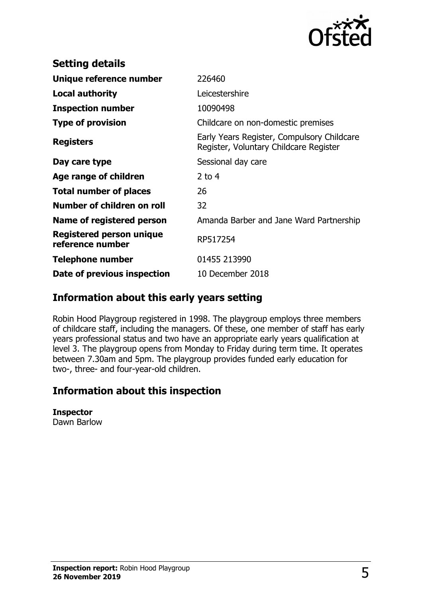

| <b>Setting details</b>                       |                                                                                      |
|----------------------------------------------|--------------------------------------------------------------------------------------|
| Unique reference number                      | 226460                                                                               |
| <b>Local authority</b>                       | Leicestershire                                                                       |
| <b>Inspection number</b>                     | 10090498                                                                             |
| <b>Type of provision</b>                     | Childcare on non-domestic premises                                                   |
| <b>Registers</b>                             | Early Years Register, Compulsory Childcare<br>Register, Voluntary Childcare Register |
| Day care type                                | Sessional day care                                                                   |
| Age range of children                        | 2 to $4$                                                                             |
| <b>Total number of places</b>                | 26                                                                                   |
| Number of children on roll                   | 32                                                                                   |
| Name of registered person                    | Amanda Barber and Jane Ward Partnership                                              |
| Registered person unique<br>reference number | RP517254                                                                             |
| Telephone number                             | 01455 213990                                                                         |
| Date of previous inspection                  | 10 December 2018                                                                     |

# **Information about this early years setting**

Robin Hood Playgroup registered in 1998. The playgroup employs three members of childcare staff, including the managers. Of these, one member of staff has early years professional status and two have an appropriate early years qualification at level 3. The playgroup opens from Monday to Friday during term time. It operates between 7.30am and 5pm. The playgroup provides funded early education for two-, three- and four-year-old children.

# **Information about this inspection**

#### **Inspector**

Dawn Barlow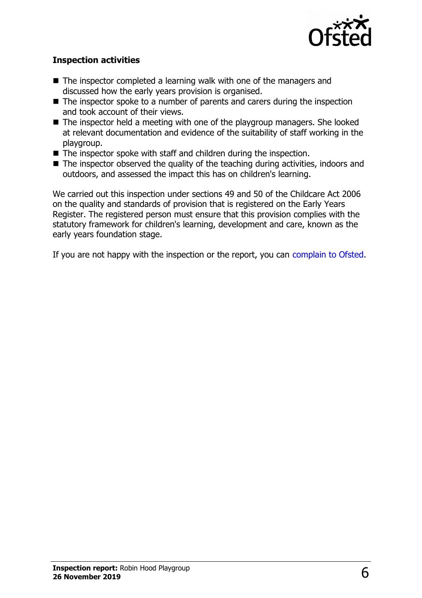

#### **Inspection activities**

- $\blacksquare$  The inspector completed a learning walk with one of the managers and discussed how the early years provision is organised.
- $\blacksquare$  The inspector spoke to a number of parents and carers during the inspection and took account of their views.
- $\blacksquare$  The inspector held a meeting with one of the playgroup managers. She looked at relevant documentation and evidence of the suitability of staff working in the playgroup.
- $\blacksquare$  The inspector spoke with staff and children during the inspection.
- $\blacksquare$  The inspector observed the quality of the teaching during activities, indoors and outdoors, and assessed the impact this has on children's learning.

We carried out this inspection under sections 49 and 50 of the Childcare Act 2006 on the quality and standards of provision that is registered on the Early Years Register. The registered person must ensure that this provision complies with the statutory framework for children's learning, development and care, known as the early years foundation stage.

If you are not happy with the inspection or the report, you can [complain to Ofsted.](http://www.gov.uk/complain-ofsted-report)